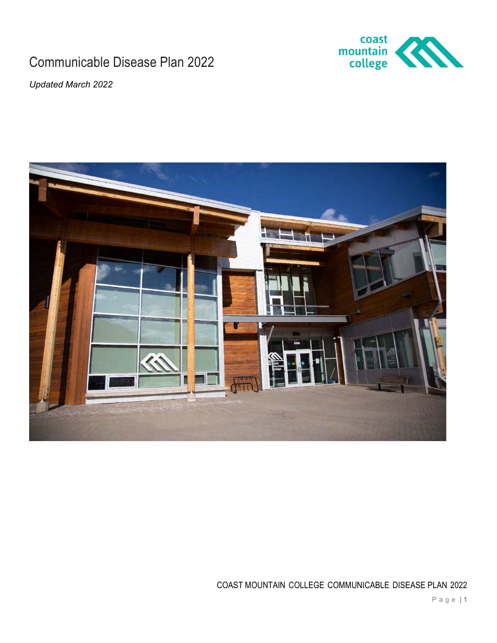# Communicable Disease Plan 2022



Updated March 2022



COAST MOUNTAIN COLLEGE COMMUNICABLE DISEASE PLAN 2022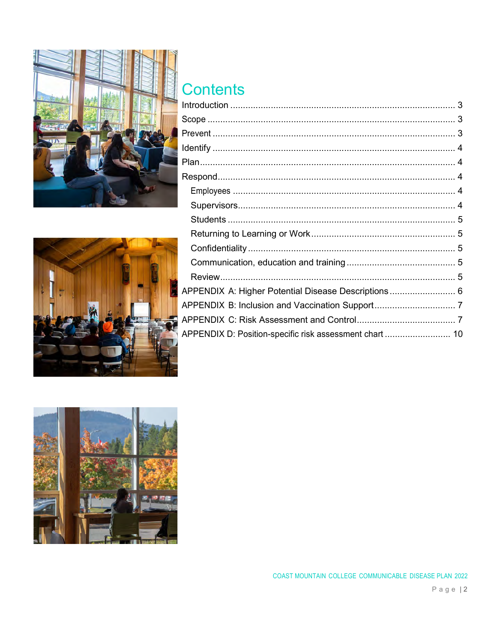

# Contents

| APPENDIX A: Higher Potential Disease Descriptions 6     |  |
|---------------------------------------------------------|--|
|                                                         |  |
|                                                         |  |
| APPENDIX D: Position-specific risk assessment chart  10 |  |
|                                                         |  |



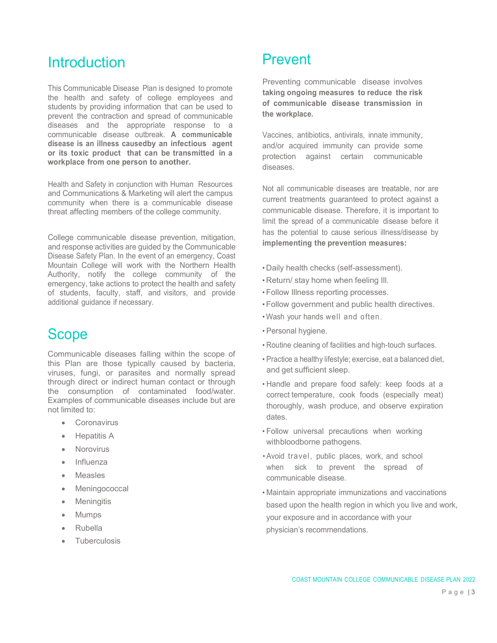# **Introduction**

This Communicable Disease Plan is designed to promote the health and safety of college employees and students by providing information that can be used to prevent the contraction and spread of communicable diseases and the appropriate response to a communicable disease outbreak. A communicable disease is an illness causedby an infectious agent or its toxic product that can be transmitted in a workplace from one person to another.

Health and Safety in conjunction with Human Resources and Communications & Marketing will alert the campus community when there is a communicable disease threat affecting members of the college community.

College communicable disease prevention, mitigation, and response activities are guided by the Communicable Disease Safety Plan. In the event of an emergency, Coast Mountain College will work with the Northern Health Authority, notify the college community of the emergency, take actions to protect the health and safety of students, faculty, staff, and visitors, and provide additional guidance if necessary.

# Scope

Communicable diseases falling within the scope of this Plan are those typically caused by bacteria, viruses, fungi, or parasites and normally spread through direct or indirect human contact or through the consumption of contaminated food/water. Examples of communicable diseases include but are not limited to:

- **Coronavirus**
- Hepatitis A
- Norovirus
- Influenza
- Measles
- Meningococcal
- **Meningitis**
- Mumps
- Rubella
- Tuberculosis

# Prevent

Preventing communicable disease involves taking ongoing measures to reduce the risk of communicable disease transmission in the workplace.

Vaccines, antibiotics, antivirals, innate immunity, and/or acquired immunity can provide some protection against certain communicable diseases.

Not all communicable diseases are treatable, nor are current treatments guaranteed to protect against a communicable disease. Therefore, it is important to limit the spread of a communicable disease before it has the potential to cause serious illness/disease by implementing the prevention measures:

- Daily health checks (self-assessment).
- Return/ stay home when feeling Ill.
- Follow Illness reporting processes.
- Follow government and public health directives.
- Wash your hands well and often.
- Personal hygiene.
- Routine cleaning of facilities and high-touch surfaces.
- Practice a healthy lifestyle; exercise, eat a balanced diet, and get sufficient sleep.
- Handle and prepare food safely: keep foods at a correct temperature, cook foods (especially meat) thoroughly, wash produce, and observe expiration dates.
- Follow universal precautions when working with bloodborne pathogens.
- Avoid travel, public places, work, and school when sick to prevent the spread of communicable disease.
- Maintain appropriate immunizations and vaccinations based upon the health region in which you live and work, your exposure and in accordance with your physician's recommendations.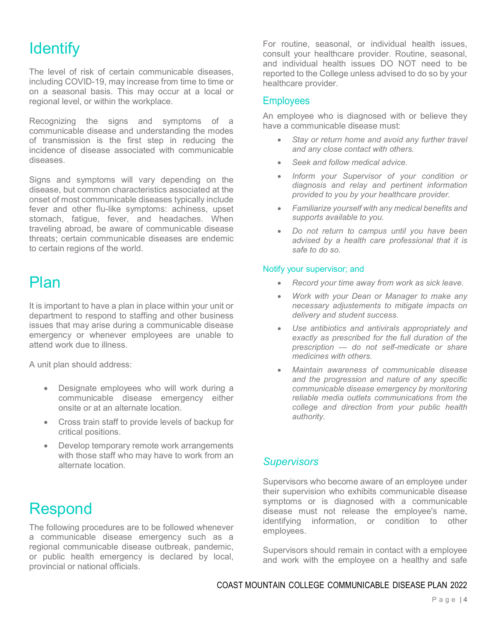# **Identify**

The level of risk of certain communicable diseases, including COVID-19, may increase from time to time or on a seasonal basis. This may occur at a local or regional level, or within the workplace.

Recognizing the signs and symptoms of a communicable disease and understanding the modes of transmission is the first step in reducing the incidence of disease associated with communicable diseases.

Signs and symptoms will vary depending on the disease, but common characteristics associated at the onset of most communicable diseases typically include fever and other flu-like symptoms: achiness, upset stomach, fatigue, fever, and headaches. When traveling abroad, be aware of communicable disease threats; certain communicable diseases are endemic to certain regions of the world.

# Plan

It is important to have a plan in place within your unit or department to respond to staffing and other business issues that may arise during a communicable disease emergency or whenever employees are unable to attend work due to illness.

A unit plan should address:

- Designate employees who will work during a communicable disease emergency either onsite or at an alternate location.
- Cross train staff to provide levels of backup for critical positions.
- Develop temporary remote work arrangements with those staff who may have to work from an alternate location.

Respond

The following procedures are to be followed whenever a communicable disease emergency such as a regional communicable disease outbreak, pandemic, or public health emergency is declared by local, provincial or national officials.

For routine, seasonal, or individual health issues, consult your healthcare provider. Routine, seasonal, and individual health issues DO NOT need to be reported to the College unless advised to do so by your healthcare provider.

## **Employees**

An employee who is diagnosed with or believe they have a communicable disease must:

- Stay or return home and avoid any further travel and any close contact with others.
- Seek and follow medical advice.
- Inform your Supervisor of your condition or diagnosis and relay and pertinent information provided to you by your healthcare provider.
- Familiarize yourself with any medical benefits and supports available to you.
- Do not return to campus until you have been advised by a health care professional that it is safe to do so.

#### Notify your supervisor; and

- Record your time away from work as sick leave.
- Work with your Dean or Manager to make any necessary adjustements to mitigate impacts on delivery and student success.
- Use antibiotics and antivirals appropriately and exactly as prescribed for the full duration of the prescription — do not self-medicate or share medicines with others.
- Maintain awareness of communicable disease and the progression and nature of any specific communicable disease emergency by monitoring reliable media outlets communications from the college and direction from your public health authority.

## **Supervisors**

Supervisors who become aware of an employee under their supervision who exhibits communicable disease symptoms or is diagnosed with a communicable disease must not release the employee's name, identifying information, or condition to other employees.

Supervisors should remain in contact with a employee and work with the employee on a healthy and safe

## COAST MOUNTAIN COLLEGE COMMUNICABLE DISEASE PLAN 2022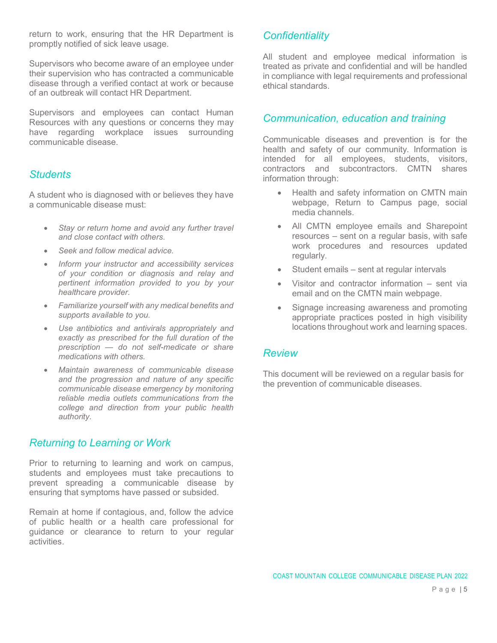return to work, ensuring that the HR Department is promptly notified of sick leave usage.

Supervisors who become aware of an employee under their supervision who has contracted a communicable disease through a verified contact at work or because of an outbreak will contact HR Department.

Supervisors and employees can contact Human Resources with any questions or concerns they may have regarding workplace issues surrounding communicable disease.

## **Students**

A student who is diagnosed with or believes they have a communicable disease must:

- Stay or return home and avoid any further travel and close contact with others.
- Seek and follow medical advice.
- Inform your instructor and accessibility services of your condition or diagnosis and relay and pertinent information provided to you by your healthcare provider.
- Familiarize yourself with any medical benefits and supports available to you.
- Use antibiotics and antivirals appropriately and exactly as prescribed for the full duration of the prescription — do not self-medicate or share medications with others.
- Maintain awareness of communicable disease and the progression and nature of any specific communicable disease emergency by monitoring reliable media outlets communications from the college and direction from your public health authority.

## Returning to Learning or Work

Prior to returning to learning and work on campus, students and employees must take precautions to prevent spreading a communicable disease by ensuring that symptoms have passed or subsided.

Remain at home if contagious, and, follow the advice of public health or a health care professional for guidance or clearance to return to your regular activities.

## **Confidentiality**

All student and employee medical information is treated as private and confidential and will be handled in compliance with legal requirements and professional ethical standards.

## Communication, education and training

Communicable diseases and prevention is for the health and safety of our community. Information is intended for all employees, students, visitors, contractors and subcontractors. CMTN shares information through:

- Health and safety information on CMTN main webpage, Return to Campus page, social media channels.
- All CMTN employee emails and Sharepoint resources – sent on a regular basis, with safe work procedures and resources updated regularly.
- Student emails sent at regular intervals
- Visitor and contractor information sent via email and on the CMTN main webpage.
- Signage increasing awareness and promoting appropriate practices posted in high visibility locations throughout work and learning spaces.

## Review

This document will be reviewed on a regular basis for the prevention of communicable diseases.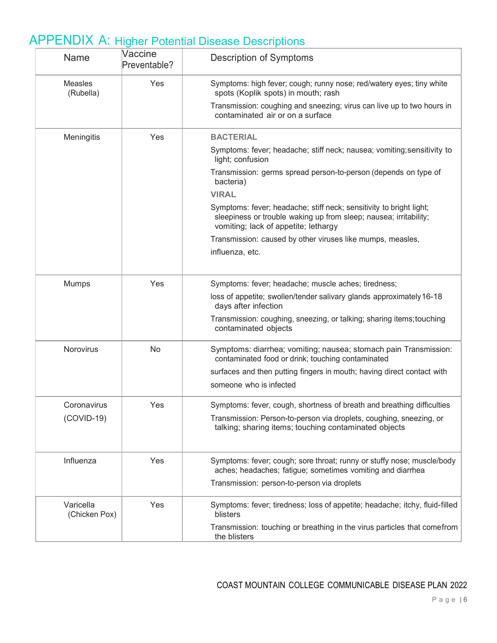| Name                       | Vaccine<br>Preventable? | <b>Description of Symptoms</b>                                                                                                                                                   |
|----------------------------|-------------------------|----------------------------------------------------------------------------------------------------------------------------------------------------------------------------------|
| Measles<br>(Rubella)       | Yes                     | Symptoms: high fever; cough; runny nose; red/watery eyes; tiny white<br>spots (Koplik spots) in mouth; rash                                                                      |
|                            |                         | Transmission: coughing and sneezing; virus can live up to two hours in<br>contaminated air or on a surface                                                                       |
| Meningitis                 | Yes                     | <b>BACTERIAL</b>                                                                                                                                                                 |
|                            |                         | Symptoms: fever; headache; stiff neck; nausea; vomiting; sensitivity to<br>light; confusion                                                                                      |
|                            |                         | Transmission: germs spread person-to-person (depends on type of<br>bacteria)                                                                                                     |
|                            |                         | <b>VIRAL</b>                                                                                                                                                                     |
|                            |                         | Symptoms: fever; headache; stiff neck; sensitivity to bright light;<br>sleepiness or trouble waking up from sleep; nausea; irritability;<br>vomiting; lack of appetite; lethargy |
|                            |                         | Transmission: caused by other viruses like mumps, measles,                                                                                                                       |
|                            |                         | influenza, etc.                                                                                                                                                                  |
| Mumps                      | Yes                     | Symptoms: fever; headache; muscle aches; tiredness;                                                                                                                              |
|                            |                         | loss of appetite; swollen/tender salivary glands approximately 16-18<br>days after infection                                                                                     |
|                            |                         | Transmission: coughing, sneezing, or talking; sharing items; touching<br>contaminated objects                                                                                    |
| Norovirus                  | No                      | Symptoms: diarrhea; vomiting; nausea; stomach pain Transmission:<br>contaminated food or drink; touching contaminated                                                            |
|                            |                         | surfaces and then putting fingers in mouth; having direct contact with                                                                                                           |
|                            |                         | someone who is infected                                                                                                                                                          |
| Coronavirus                | Yes                     | Symptoms: fever, cough, shortness of breath and breathing difficulties                                                                                                           |
| $(COVID-19)$               |                         | Transmission: Person-to-person via droplets, coughing, sneezing, or<br>talking; sharing items; touching contaminated objects                                                     |
| Influenza                  | Yes                     | Symptoms: fever; cough; sore throat; runny or stuffy nose; muscle/body<br>aches; headaches; fatigue; sometimes vomiting and diarrhea                                             |
|                            |                         | Transmission: person-to-person via droplets                                                                                                                                      |
| Varicella<br>(Chicken Pox) | Yes                     | Symptoms: fever; tiredness; loss of appetite; headache; itchy, fluid-filled<br>blisters                                                                                          |
|                            |                         | Transmission: touching or breathing in the virus particles that comefrom<br>the blisters                                                                                         |

# APPENDIX A: Higher Potential Disease Descriptions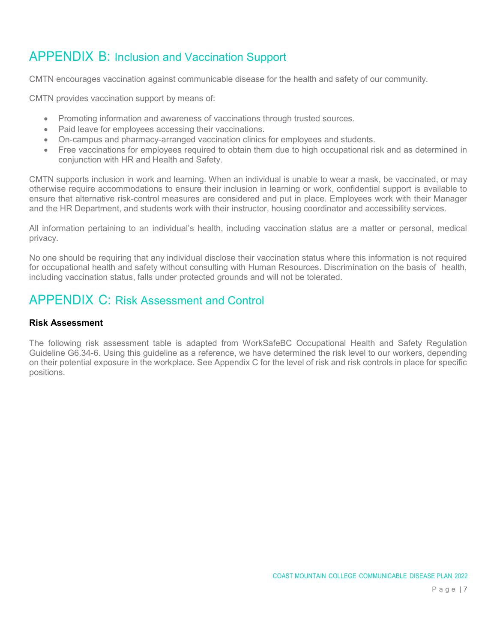# APPENDIX B: Inclusion and Vaccination Support

CMTN encourages vaccination against communicable disease for the health and safety of our community.

CMTN provides vaccination support by means of:

- Promoting information and awareness of vaccinations through trusted sources.
- Paid leave for employees accessing their vaccinations.
- On-campus and pharmacy-arranged vaccination clinics for employees and students.
- Free vaccinations for employees required to obtain them due to high occupational risk and as determined in conjunction with HR and Health and Safety.

CMTN supports inclusion in work and learning. When an individual is unable to wear a mask, be vaccinated, or may otherwise require accommodations to ensure their inclusion in learning or work, confidential support is available to ensure that alternative risk-control measures are considered and put in place. Employees work with their Manager and the HR Department, and students work with their instructor, housing coordinator and accessibility services.

All information pertaining to an individual's health, including vaccination status are a matter or personal, medical privacy.

No one should be requiring that any individual disclose their vaccination status where this information is not required for occupational health and safety without consulting with Human Resources. Discrimination on the basis of health, including vaccination status, falls under protected grounds and will not be tolerated.

# APPENDIX C: Risk Assessment and Control

#### Risk Assessment

The following risk assessment table is adapted from WorkSafeBC Occupational Health and Safety Regulation Guideline G6.34-6. Using this guideline as a reference, we have determined the risk level to our workers, depending on their potential exposure in the workplace. See Appendix C for the level of risk and risk controls in place for specific positions.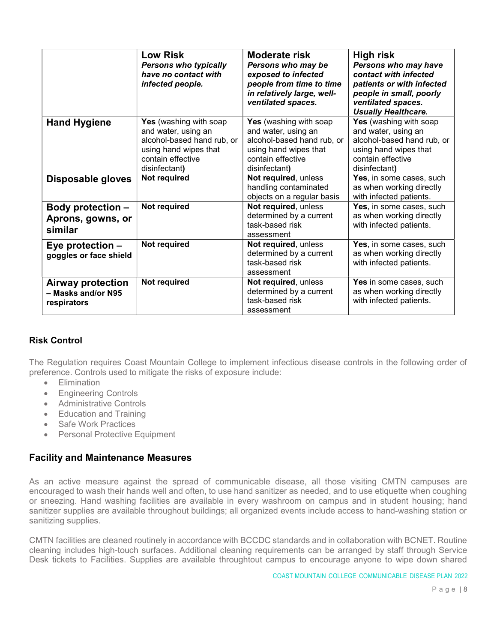|                                                               | <b>Low Risk</b><br><b>Persons who typically</b><br>have no contact with<br>infected people.                                                       | <b>Moderate risk</b><br>Persons who may be<br>exposed to infected<br>people from time to time<br>in relatively large, well-<br>ventilated spaces. | <b>High risk</b><br>Persons who may have<br>contact with infected<br>patients or with infected<br>people in small, poorly<br>ventilated spaces.<br><b>Usually Healthcare.</b> |
|---------------------------------------------------------------|---------------------------------------------------------------------------------------------------------------------------------------------------|---------------------------------------------------------------------------------------------------------------------------------------------------|-------------------------------------------------------------------------------------------------------------------------------------------------------------------------------|
| <b>Hand Hygiene</b>                                           | <b>Yes</b> (washing with soap<br>and water, using an<br>alcohol-based hand rub, or<br>using hand wipes that<br>contain effective<br>disinfectant) | <b>Yes</b> (washing with soap<br>and water, using an<br>alcohol-based hand rub, or<br>using hand wipes that<br>contain effective<br>disinfectant) | <b>Yes</b> (washing with soap<br>and water, using an<br>alcohol-based hand rub, or<br>using hand wipes that<br>contain effective<br>disinfectant)                             |
| <b>Disposable gloves</b>                                      | Not required                                                                                                                                      | Not required, unless<br>handling contaminated<br>objects on a regular basis                                                                       | Yes, in some cases, such<br>as when working directly<br>with infected patients.                                                                                               |
| <b>Body protection -</b><br>Aprons, gowns, or<br>similar      | Not required                                                                                                                                      | Not required, unless<br>determined by a current<br>task-based risk<br>assessment                                                                  | Yes, in some cases, such<br>as when working directly<br>with infected patients.                                                                                               |
| Eye protection $-$<br>goggles or face shield                  | Not required                                                                                                                                      | Not required, unless<br>determined by a current<br>task-based risk<br>assessment                                                                  | Yes, in some cases, such<br>as when working directly<br>with infected patients.                                                                                               |
| <b>Airway protection</b><br>- Masks and/or N95<br>respirators | Not required                                                                                                                                      | Not required, unless<br>determined by a current<br>task-based risk<br>assessment                                                                  | Yes in some cases, such<br>as when working directly<br>with infected patients.                                                                                                |

### Risk Control

The Regulation requires Coast Mountain College to implement infectious disease controls in the following order of preference. Controls used to mitigate the risks of exposure include:

- **•** Elimination
- Engineering Controls
- Administrative Controls
- Education and Training
- Safe Work Practices
- Personal Protective Equipment

## Facility and Maintenance Measures

As an active measure against the spread of communicable disease, all those visiting CMTN campuses are encouraged to wash their hands well and often, to use hand sanitizer as needed, and to use etiquette when coughing or sneezing. Hand washing facilities are available in every washroom on campus and in student housing; hand sanitizer supplies are available throughout buildings; all organized events include access to hand-washing station or sanitizing supplies.

CMTN facilities are cleaned routinely in accordance with BCCDC standards and in collaboration with BCNET. Routine cleaning includes high-touch surfaces. Additional cleaning requirements can be arranged by staff through Service Desk tickets to Facilities. Supplies are available throughtout campus to encourage anyone to wipe down shared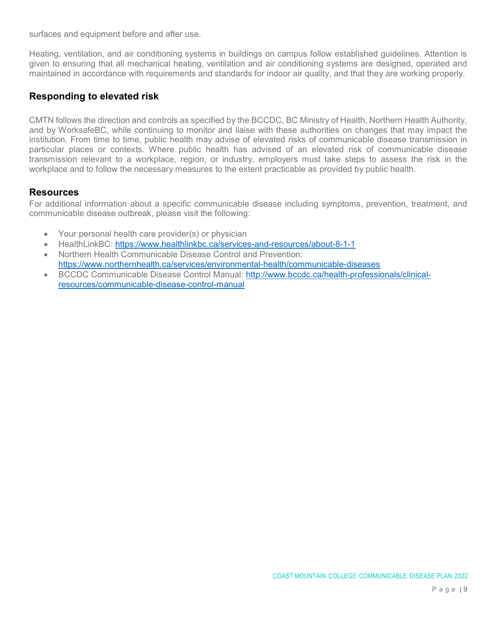surfaces and equipment before and after use.

Heating, ventilation, and air conditioning systems in buildings on campus follow established guidelines. Attention is given to ensuring that all mechanical heating, ventilation and air conditioning systems are designed, operated and maintained in accordance with requirements and standards for indoor air quality, and that they are working properly.

### Responding to elevated risk

CMTN follows the direction and controls as specified by the BCCDC, BC Ministry of Health, Northern Health Authority, and by WorksafeBC, while continuing to monitor and liaise with these authorities on changes that may impact the institution. From time to time, public health may advise of elevated risks of communicable disease transmission in particular places or contexts. Where public health has advised of an elevated risk of communicable disease transmission relevant to a workplace, region, or industry, employers must take steps to assess the risk in the workplace and to follow the necessary measures to the extent practicable as provided by public health.

#### **Resources**

For additional information about a specific communicable disease including symptoms, prevention, treatment, and communicable disease outbreak, please visit the following:

- Your personal health care provider(s) or physician
- HealthLinkBC: https://www.healthlinkbc.ca/services-and-resources/about-8-1-1
- Northern Health Communicable Disease Control and Prevention: https://www.northernhealth.ca/services/environmental-health/communicable-diseases
- BCCDC Communicable Disease Control Manual: http://www.bccdc.ca/health-professionals/clinicalresources/communicable-disease-control-manual